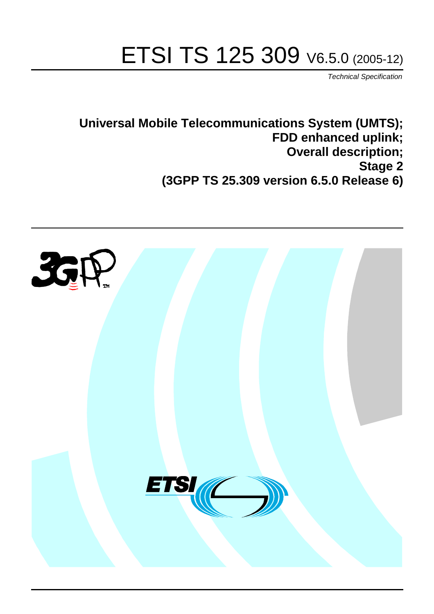# ETSI TS 125 309 V6.5.0 (2005-12)

Technical Specification

**Universal Mobile Telecommunications System (UMTS); FDD enhanced uplink; Overall description; Stage 2 (3GPP TS 25.309 version 6.5.0 Release 6)**

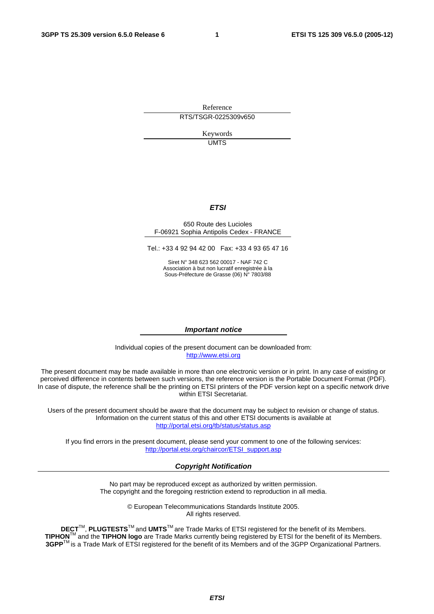Reference RTS/TSGR-0225309v650

> Keywords UMTS

#### **ETSI**

#### 650 Route des Lucioles F-06921 Sophia Antipolis Cedex - FRANCE

Tel.: +33 4 92 94 42 00 Fax: +33 4 93 65 47 16

Siret N° 348 623 562 00017 - NAF 742 C Association à but non lucratif enregistrée à la Sous-Préfecture de Grasse (06) N° 7803/88

#### **Important notice**

Individual copies of the present document can be downloaded from: [http://www.etsi.org](http://www.etsi.org/)

The present document may be made available in more than one electronic version or in print. In any case of existing or perceived difference in contents between such versions, the reference version is the Portable Document Format (PDF). In case of dispute, the reference shall be the printing on ETSI printers of the PDF version kept on a specific network drive within ETSI Secretariat.

Users of the present document should be aware that the document may be subject to revision or change of status. Information on the current status of this and other ETSI documents is available at <http://portal.etsi.org/tb/status/status.asp>

If you find errors in the present document, please send your comment to one of the following services: [http://portal.etsi.org/chaircor/ETSI\\_support.asp](http://portal.etsi.org/chaircor/ETSI_support.asp)

#### **Copyright Notification**

No part may be reproduced except as authorized by written permission. The copyright and the foregoing restriction extend to reproduction in all media.

> © European Telecommunications Standards Institute 2005. All rights reserved.

**DECT**TM, **PLUGTESTS**TM and **UMTS**TM are Trade Marks of ETSI registered for the benefit of its Members. **TIPHON**TM and the **TIPHON logo** are Trade Marks currently being registered by ETSI for the benefit of its Members. **3GPP**TM is a Trade Mark of ETSI registered for the benefit of its Members and of the 3GPP Organizational Partners.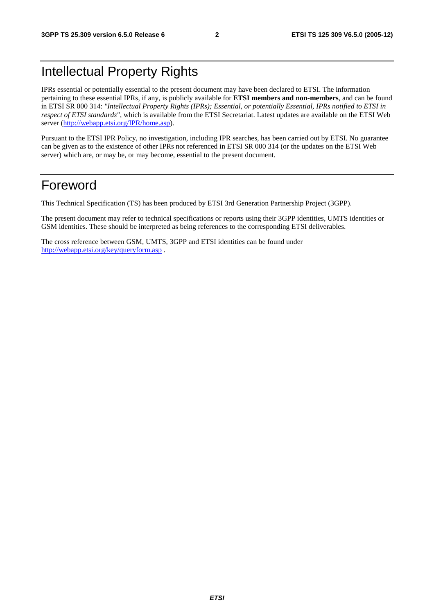## Intellectual Property Rights

IPRs essential or potentially essential to the present document may have been declared to ETSI. The information pertaining to these essential IPRs, if any, is publicly available for **ETSI members and non-members**, and can be found in ETSI SR 000 314: *"Intellectual Property Rights (IPRs); Essential, or potentially Essential, IPRs notified to ETSI in respect of ETSI standards"*, which is available from the ETSI Secretariat. Latest updates are available on the ETSI Web server ([http://webapp.etsi.org/IPR/home.asp\)](http://webapp.etsi.org/IPR/home.asp).

Pursuant to the ETSI IPR Policy, no investigation, including IPR searches, has been carried out by ETSI. No guarantee can be given as to the existence of other IPRs not referenced in ETSI SR 000 314 (or the updates on the ETSI Web server) which are, or may be, or may become, essential to the present document.

### Foreword

This Technical Specification (TS) has been produced by ETSI 3rd Generation Partnership Project (3GPP).

The present document may refer to technical specifications or reports using their 3GPP identities, UMTS identities or GSM identities. These should be interpreted as being references to the corresponding ETSI deliverables.

The cross reference between GSM, UMTS, 3GPP and ETSI identities can be found under <http://webapp.etsi.org/key/queryform.asp>.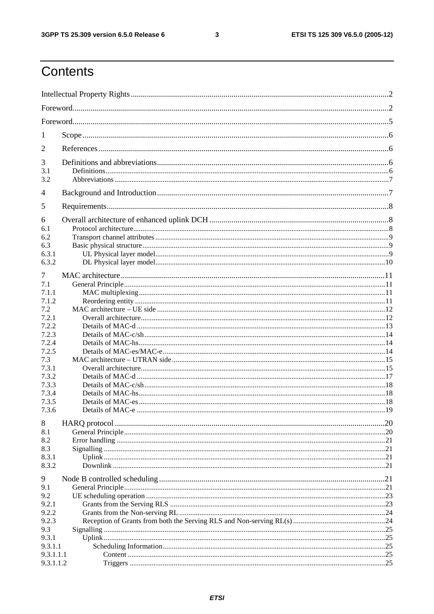$\mathbf{3}$ 

## Contents

| 1              |  |  |  |  |  |
|----------------|--|--|--|--|--|
| 2              |  |  |  |  |  |
| 3              |  |  |  |  |  |
| 3.1            |  |  |  |  |  |
| 3.2            |  |  |  |  |  |
| $\overline{4}$ |  |  |  |  |  |
| 5              |  |  |  |  |  |
| 6              |  |  |  |  |  |
| 6.1<br>6.2     |  |  |  |  |  |
| 6.3            |  |  |  |  |  |
| 6.3.1          |  |  |  |  |  |
| 6.3.2          |  |  |  |  |  |
|                |  |  |  |  |  |
| 7              |  |  |  |  |  |
| 7.1            |  |  |  |  |  |
| 7.1.1          |  |  |  |  |  |
| 7.1.2          |  |  |  |  |  |
| 7.2<br>7.2.1   |  |  |  |  |  |
| 7.2.2          |  |  |  |  |  |
| 7.2.3          |  |  |  |  |  |
| 7.2.4          |  |  |  |  |  |
| 7.2.5          |  |  |  |  |  |
| 7.3            |  |  |  |  |  |
| 7.3.1          |  |  |  |  |  |
| 7.3.2          |  |  |  |  |  |
| 7.3.3          |  |  |  |  |  |
| 7.3.4          |  |  |  |  |  |
| 7.3.5          |  |  |  |  |  |
| 7.3.6          |  |  |  |  |  |
| 8              |  |  |  |  |  |
| 8.1            |  |  |  |  |  |
| 8.2            |  |  |  |  |  |
| 8.3            |  |  |  |  |  |
| 8.3.1          |  |  |  |  |  |
| 8.3.2          |  |  |  |  |  |
| 9              |  |  |  |  |  |
| 9.1            |  |  |  |  |  |
| 9.2            |  |  |  |  |  |
| 9.2.1          |  |  |  |  |  |
| 9.2.2          |  |  |  |  |  |
| 9.2.3          |  |  |  |  |  |
| 9.3            |  |  |  |  |  |
| 9.3.1          |  |  |  |  |  |
| 9.3.1.1        |  |  |  |  |  |
| 9.3.1.1.1      |  |  |  |  |  |
| 9.3.1.1.2      |  |  |  |  |  |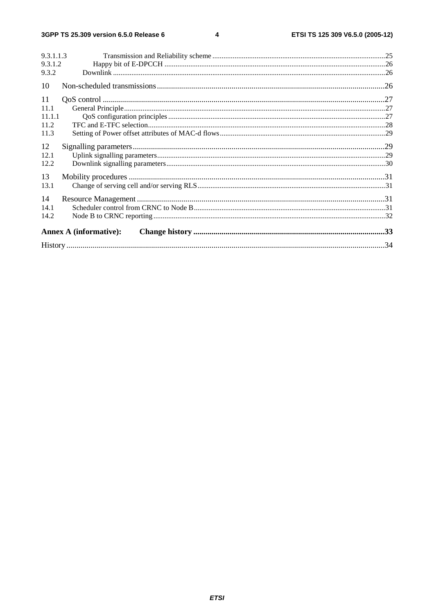#### $\overline{\mathbf{4}}$

| 9.3.1.1.3                     |  |
|-------------------------------|--|
| 9.3.1.2                       |  |
| 9.3.2                         |  |
| 10                            |  |
| 11                            |  |
| 11.1                          |  |
| 11.1.1                        |  |
| 11.2                          |  |
| 11.3                          |  |
| 12                            |  |
| 12.1                          |  |
| 12.2                          |  |
| 13                            |  |
| 13.1                          |  |
| 14                            |  |
| 14.1                          |  |
| 14.2                          |  |
| <b>Annex A (informative):</b> |  |
|                               |  |

#### **ETSI**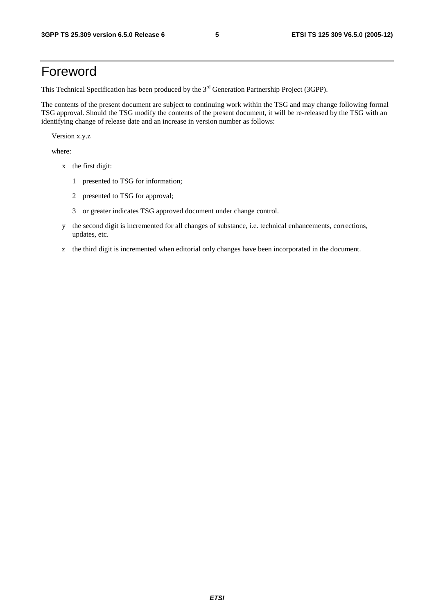### Foreword

This Technical Specification has been produced by the 3<sup>rd</sup> Generation Partnership Project (3GPP).

The contents of the present document are subject to continuing work within the TSG and may change following formal TSG approval. Should the TSG modify the contents of the present document, it will be re-released by the TSG with an identifying change of release date and an increase in version number as follows:

Version x.y.z

where:

- x the first digit:
	- 1 presented to TSG for information;
	- 2 presented to TSG for approval;
	- 3 or greater indicates TSG approved document under change control.
- y the second digit is incremented for all changes of substance, i.e. technical enhancements, corrections, updates, etc.
- z the third digit is incremented when editorial only changes have been incorporated in the document.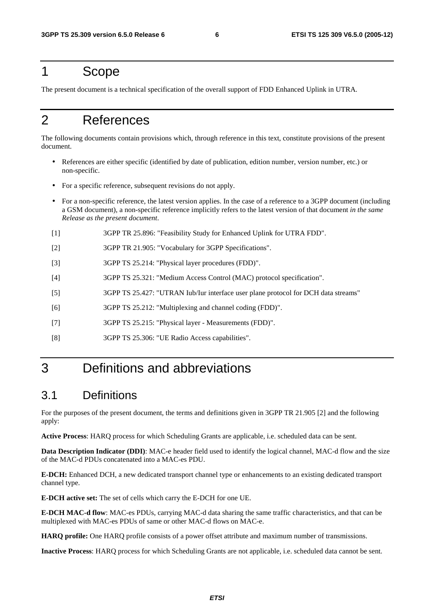### 1 Scope

The present document is a technical specification of the overall support of FDD Enhanced Uplink in UTRA.

### 2 References

The following documents contain provisions which, through reference in this text, constitute provisions of the present document.

- References are either specific (identified by date of publication, edition number, version number, etc.) or non-specific.
- For a specific reference, subsequent revisions do not apply.
- For a non-specific reference, the latest version applies. In the case of a reference to a 3GPP document (including a GSM document), a non-specific reference implicitly refers to the latest version of that document *in the same Release as the present document*.
- [1] 3GPP TR 25.896: "Feasibility Study for Enhanced Uplink for UTRA FDD".
- [2] 3GPP TR 21.905: "Vocabulary for 3GPP Specifications".
- [3] 3GPP TS 25.214: "Physical layer procedures (FDD)".
- [4] 3GPP TS 25.321: "Medium Access Control (MAC) protocol specification".
- [5] 3GPP TS 25.427: "UTRAN Iub/Iur interface user plane protocol for DCH data streams"
- [6] 3GPP TS 25.212: "Multiplexing and channel coding (FDD)".
- [7] 3GPP TS 25.215: "Physical layer Measurements (FDD)".
- [8] 3GPP TS 25.306: "UE Radio Access capabilities".

## 3 Definitions and abbreviations

### 3.1 Definitions

For the purposes of the present document, the terms and definitions given in 3GPP TR 21.905 [2] and the following apply:

**Active Process**: HARQ process for which Scheduling Grants are applicable, i.e. scheduled data can be sent.

**Data Description Indicator (DDI)**: MAC-e header field used to identify the logical channel, MAC-d flow and the size of the MAC-d PDUs concatenated into a MAC-es PDU.

**E-DCH:** Enhanced DCH, a new dedicated transport channel type or enhancements to an existing dedicated transport channel type.

**E-DCH active set:** The set of cells which carry the E-DCH for one UE.

**E-DCH MAC-d flow**: MAC-es PDUs, carrying MAC-d data sharing the same traffic characteristics, and that can be multiplexed with MAC-es PDUs of same or other MAC-d flows on MAC-e.

**HARQ profile:** One HARQ profile consists of a power offset attribute and maximum number of transmissions.

**Inactive Process**: HARQ process for which Scheduling Grants are not applicable, i.e. scheduled data cannot be sent.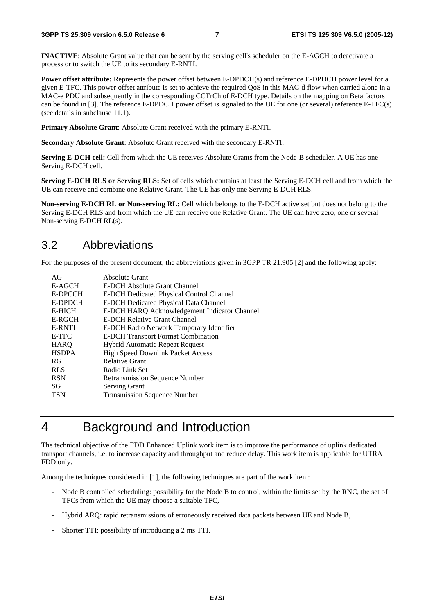**INACTIVE**: Absolute Grant value that can be sent by the serving cell's scheduler on the E-AGCH to deactivate a process or to switch the UE to its secondary E-RNTI.

**Power offset attribute:** Represents the power offset between E-DPDCH(s) and reference E-DPDCH power level for a given E-TFC. This power offset attribute is set to achieve the required QoS in this MAC-d flow when carried alone in a MAC-e PDU and subsequently in the corresponding CCTrCh of E-DCH type. Details on the mapping on Beta factors can be found in [3]. The reference E-DPDCH power offset is signaled to the UE for one (or several) reference E-TFC(s) (see details in subclause 11.1).

**Primary Absolute Grant**: Absolute Grant received with the primary E-RNTI.

**Secondary Absolute Grant**: Absolute Grant received with the secondary E-RNTI.

**Serving E-DCH cell:** Cell from which the UE receives Absolute Grants from the Node-B scheduler. A UE has one Serving E-DCH cell.

**Serving E-DCH RLS or Serving RLS:** Set of cells which contains at least the Serving E-DCH cell and from which the UE can receive and combine one Relative Grant. The UE has only one Serving E-DCH RLS.

**Non-serving E-DCH RL or Non-serving RL:** Cell which belongs to the E-DCH active set but does not belong to the Serving E-DCH RLS and from which the UE can receive one Relative Grant. The UE can have zero, one or several Non-serving E-DCH RL(s).

### 3.2 Abbreviations

For the purposes of the present document, the abbreviations given in 3GPP TR 21.905 [2] and the following apply:

| AG            | Absolute Grant                                  |
|---------------|-------------------------------------------------|
| E-AGCH        | E-DCH Absolute Grant Channel                    |
| E-DPCCH       | <b>E-DCH Dedicated Physical Control Channel</b> |
| E-DPDCH       | <b>E-DCH Dedicated Physical Data Channel</b>    |
| E-HICH        | E-DCH HARQ Acknowledgement Indicator Channel    |
| E-RGCH        | E-DCH Relative Grant Channel                    |
| <b>E-RNTI</b> | E-DCH Radio Network Temporary Identifier        |
| E-TFC         | <b>E-DCH Transport Format Combination</b>       |
| <b>HARO</b>   | <b>Hybrid Automatic Repeat Request</b>          |
| <b>HSDPA</b>  | <b>High Speed Downlink Packet Access</b>        |
| RG            | <b>Relative Grant</b>                           |
| <b>RLS</b>    | Radio Link Set                                  |
| <b>RSN</b>    | <b>Retransmission Sequence Number</b>           |
| SG            | <b>Serving Grant</b>                            |
| <b>TSN</b>    | <b>Transmission Sequence Number</b>             |

## 4 Background and Introduction

The technical objective of the FDD Enhanced Uplink work item is to improve the performance of uplink dedicated transport channels, i.e. to increase capacity and throughput and reduce delay. This work item is applicable for UTRA FDD only.

Among the techniques considered in [1], the following techniques are part of the work item:

- Node B controlled scheduling: possibility for the Node B to control, within the limits set by the RNC, the set of TFCs from which the UE may choose a suitable TFC,
- Hybrid ARQ: rapid retransmissions of erroneously received data packets between UE and Node B,
- Shorter TTI: possibility of introducing a 2 ms TTI.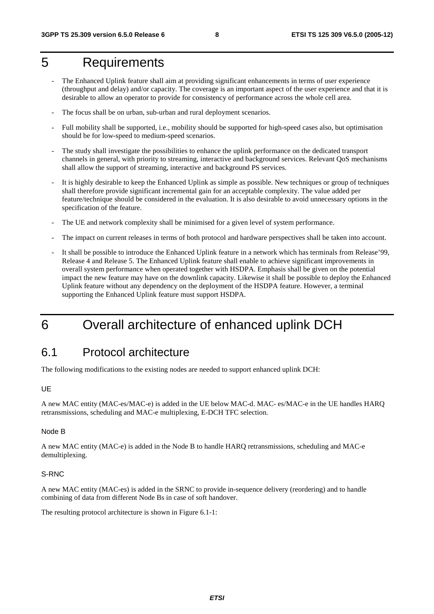## 5 Requirements

- The Enhanced Uplink feature shall aim at providing significant enhancements in terms of user experience (throughput and delay) and/or capacity. The coverage is an important aspect of the user experience and that it is desirable to allow an operator to provide for consistency of performance across the whole cell area.
- The focus shall be on urban, sub-urban and rural deployment scenarios.
- Full mobility shall be supported, i.e., mobility should be supported for high-speed cases also, but optimisation should be for low-speed to medium-speed scenarios.
- The study shall investigate the possibilities to enhance the uplink performance on the dedicated transport channels in general, with priority to streaming, interactive and background services. Relevant QoS mechanisms shall allow the support of streaming, interactive and background PS services.
- It is highly desirable to keep the Enhanced Uplink as simple as possible. New techniques or group of techniques shall therefore provide significant incremental gain for an acceptable complexity. The value added per feature/technique should be considered in the evaluation. It is also desirable to avoid unnecessary options in the specification of the feature.
- The UE and network complexity shall be minimised for a given level of system performance.
- The impact on current releases in terms of both protocol and hardware perspectives shall be taken into account.
- It shall be possible to introduce the Enhanced Uplink feature in a network which has terminals from Release'99, Release 4 and Release 5. The Enhanced Uplink feature shall enable to achieve significant improvements in overall system performance when operated together with HSDPA. Emphasis shall be given on the potential impact the new feature may have on the downlink capacity. Likewise it shall be possible to deploy the Enhanced Uplink feature without any dependency on the deployment of the HSDPA feature. However, a terminal supporting the Enhanced Uplink feature must support HSDPA.

## 6 Overall architecture of enhanced uplink DCH

### 6.1 Protocol architecture

The following modifications to the existing nodes are needed to support enhanced uplink DCH:

#### UE

A new MAC entity (MAC-es/MAC-e) is added in the UE below MAC-d. MAC- es/MAC-e in the UE handles HARQ retransmissions, scheduling and MAC-e multiplexing, E-DCH TFC selection.

#### Node B

A new MAC entity (MAC-e) is added in the Node B to handle HARQ retransmissions, scheduling and MAC-e demultiplexing.

#### S-RNC

A new MAC entity (MAC-es) is added in the SRNC to provide in-sequence delivery (reordering) and to handle combining of data from different Node Bs in case of soft handover.

The resulting protocol architecture is shown in Figure 6.1-1: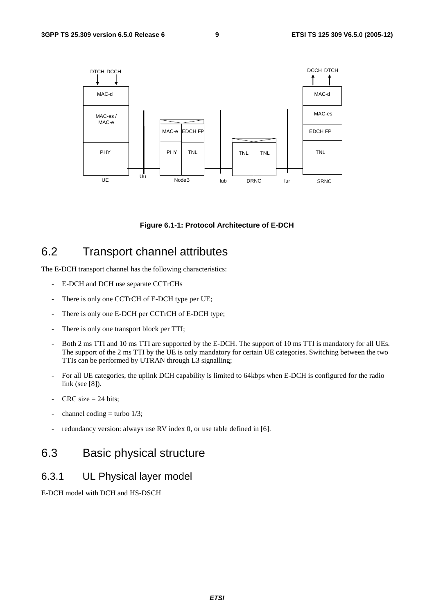

#### **Figure 6.1-1: Protocol Architecture of E-DCH**

### 6.2 Transport channel attributes

The E-DCH transport channel has the following characteristics:

- E-DCH and DCH use separate CCTrCHs
- There is only one CCTrCH of E-DCH type per UE;
- There is only one E-DCH per CCTrCH of E-DCH type;
- There is only one transport block per TTI;
- Both 2 ms TTI and 10 ms TTI are supported by the E-DCH. The support of 10 ms TTI is mandatory for all UEs. The support of the 2 ms TTI by the UE is only mandatory for certain UE categories. Switching between the two TTIs can be performed by UTRAN through L3 signalling;
- For all UE categories, the uplink DCH capability is limited to 64kbps when E-DCH is configured for the radio link (see [8]).
- $CRC$  size = 24 bits;
- channel coding = turbo  $1/3$ ;
- redundancy version: always use RV index 0, or use table defined in [6].

### 6.3 Basic physical structure

#### 6.3.1 UL Physical layer model

E-DCH model with DCH and HS-DSCH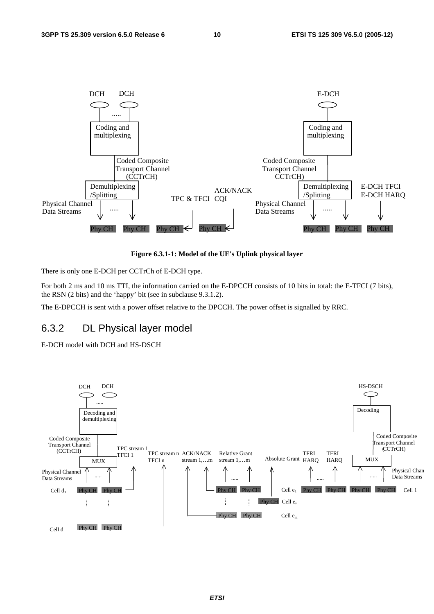

**Figure 6.3.1-1: Model of the UE's Uplink physical layer** 

There is only one E-DCH per CCTrCh of E-DCH type.

For both 2 ms and 10 ms TTI, the information carried on the E-DPCCH consists of 10 bits in total: the E-TFCI (7 bits), the RSN (2 bits) and the 'happy' bit (see in subclause 9.3.1.2).

The E-DPCCH is sent with a power offset relative to the DPCCH. The power offset is signalled by RRC.

#### 6.3.2 DL Physical layer model

E-DCH model with DCH and HS-DSCH

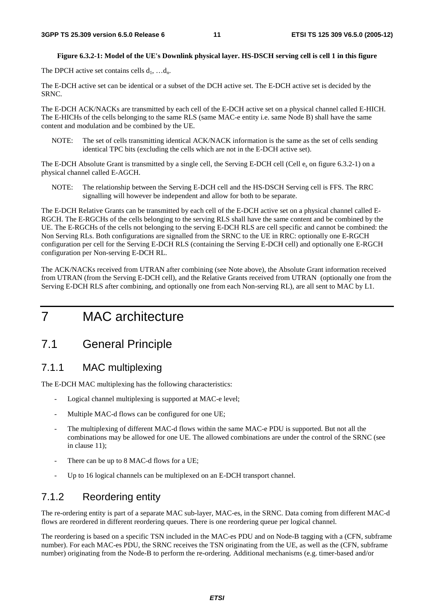#### **Figure 6.3.2-1: Model of the UE's Downlink physical layer. HS-DSCH serving cell is cell 1 in this figure**

The DPCH active set contains cells  $d_1, \ldots, d_n$ .

The E-DCH active set can be identical or a subset of the DCH active set. The E-DCH active set is decided by the SRNC.

The E-DCH ACK/NACKs are transmitted by each cell of the E-DCH active set on a physical channel called E-HICH. The E-HICHs of the cells belonging to the same RLS (same MAC-e entity i.e. same Node B) shall have the same content and modulation and be combined by the UE.

NOTE: The set of cells transmitting identical ACK/NACK information is the same as the set of cells sending identical TPC bits (excluding the cells which are not in the E-DCH active set).

The E-DCH Absolute Grant is transmitted by a single cell, the Serving E-DCH cell (Cell e<sub>s</sub> on figure 6.3.2-1) on a physical channel called E-AGCH.

NOTE: The relationship between the Serving E-DCH cell and the HS-DSCH Serving cell is FFS. The RRC signalling will however be independent and allow for both to be separate.

The E-DCH Relative Grants can be transmitted by each cell of the E-DCH active set on a physical channel called E-RGCH. The E-RGCHs of the cells belonging to the serving RLS shall have the same content and be combined by the UE. The E-RGCHs of the cells not belonging to the serving E-DCH RLS are cell specific and cannot be combined: the Non Serving RLs. Both configurations are signalled from the SRNC to the UE in RRC: optionally one E-RGCH configuration per cell for the Serving E-DCH RLS (containing the Serving E-DCH cell) and optionally one E-RGCH configuration per Non-serving E-DCH RL.

The ACK/NACKs received from UTRAN after combining (see Note above), the Absolute Grant information received from UTRAN (from the Serving E-DCH cell), and the Relative Grants received from UTRAN (optionally one from the Serving E-DCH RLS after combining, and optionally one from each Non-serving RL), are all sent to MAC by L1.

## 7 MAC architecture

### 7.1 General Principle

#### 7.1.1 MAC multiplexing

The E-DCH MAC multiplexing has the following characteristics:

- Logical channel multiplexing is supported at MAC-e level;
- Multiple MAC-d flows can be configured for one UE;
- The multiplexing of different MAC-d flows within the same MAC-e PDU is supported. But not all the combinations may be allowed for one UE. The allowed combinations are under the control of the SRNC (see in clause 11);
- There can be up to 8 MAC-d flows for a UE;
- Up to 16 logical channels can be multiplexed on an E-DCH transport channel.

#### 7.1.2 Reordering entity

The re-ordering entity is part of a separate MAC sub-layer, MAC-es, in the SRNC. Data coming from different MAC-d flows are reordered in different reordering queues. There is one reordering queue per logical channel.

The reordering is based on a specific TSN included in the MAC-es PDU and on Node-B tagging with a (CFN, subframe number). For each MAC-es PDU, the SRNC receives the TSN originating from the UE, as well as the (CFN, subframe number) originating from the Node-B to perform the re-ordering. Additional mechanisms (e.g. timer-based and/or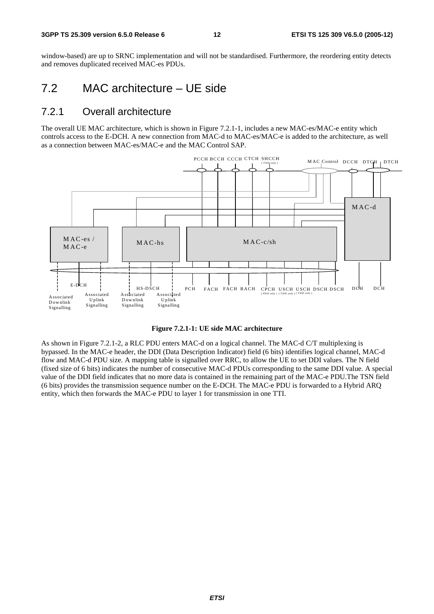window-based) are up to SRNC implementation and will not be standardised. Furthermore, the reordering entity detects and removes duplicated received MAC-es PDUs.

### 7.2 MAC architecture – UE side

#### 7.2.1 Overall architecture

The overall UE MAC architecture, which is shown in Figure 7.2.1-1, includes a new MAC-es/MAC-e entity which controls access to the E-DCH. A new connection from MAC-d to MAC-es/MAC-e is added to the architecture, as well as a connection between MAC-es/MAC-e and the MAC Control SAP.





As shown in Figure 7.2.1-2, a RLC PDU enters MAC-d on a logical channel. The MAC-d C/T multiplexing is bypassed. In the MAC-e header, the DDI (Data Description Indicator) field (6 bits) identifies logical channel, MAC-d flow and MAC-d PDU size. A mapping table is signalled over RRC, to allow the UE to set DDI values. The N field (fixed size of 6 bits) indicates the number of consecutive MAC-d PDUs corresponding to the same DDI value. A special value of the DDI field indicates that no more data is contained in the remaining part of the MAC-e PDU.The TSN field (6 bits) provides the transmission sequence number on the E-DCH. The MAC-e PDU is forwarded to a Hybrid ARQ entity, which then forwards the MAC-e PDU to layer 1 for transmission in one TTI.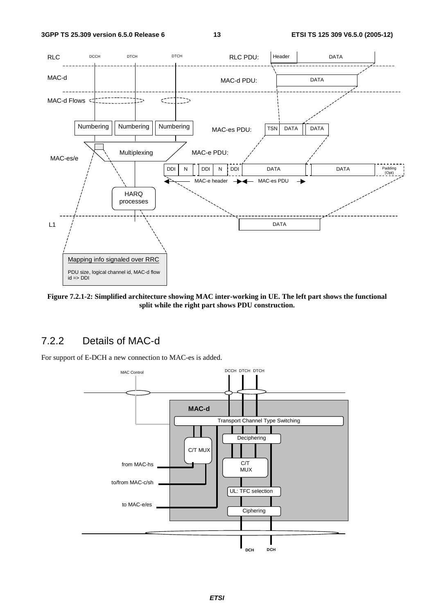

**Figure 7.2.1-2: Simplified architecture showing MAC inter-working in UE. The left part shows the functional split while the right part shows PDU construction.** 

#### 7.2.2 Details of MAC-d

For support of E-DCH a new connection to MAC-es is added.

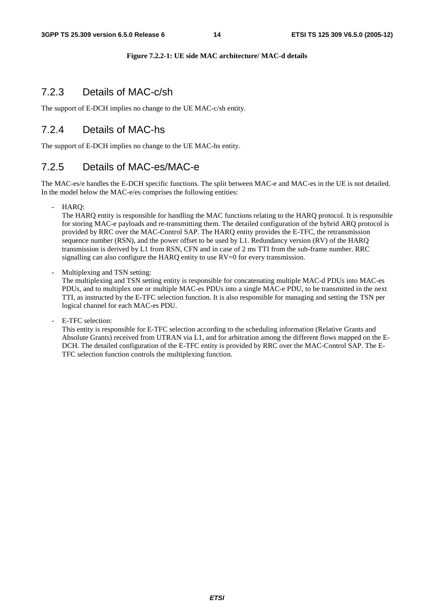#### **Figure 7.2.2-1: UE side MAC architecture/ MAC-d details**

#### 7.2.3 Details of MAC-c/sh

The support of E-DCH implies no change to the UE MAC-c/sh entity.

#### 7.2.4 Details of MAC-hs

The support of E-DCH implies no change to the UE MAC-hs entity.

#### 7.2.5 Details of MAC-es/MAC-e

The MAC-es/e handles the E-DCH specific functions. The split between MAC-e and MAC-es in the UE is not detailed. In the model below the MAC-e/es comprises the following entities:

- HARQ:

The HARQ entity is responsible for handling the MAC functions relating to the HARQ protocol. It is responsible for storing MAC-e payloads and re-transmitting them. The detailed configuration of the hybrid ARQ protocol is provided by RRC over the MAC-Control SAP. The HARQ entity provides the E-TFC, the retransmission sequence number (RSN), and the power offset to be used by L1. Redundancy version (RV) of the HARQ transmission is derived by L1 from RSN, CFN and in case of 2 ms TTI from the sub-frame number. RRC signalling can also configure the HARQ entity to use RV=0 for every transmission.

Multiplexing and TSN setting:

The multiplexing and TSN setting entity is responsible for concatenating multiple MAC-d PDUs into MAC-es PDUs, and to multiplex one or multiple MAC-es PDUs into a single MAC-e PDU, to be transmitted in the next TTI, as instructed by the E-TFC selection function. It is also responsible for managing and setting the TSN per logical channel for each MAC-es PDU.

E-TFC selection:

This entity is responsible for E-TFC selection according to the scheduling information (Relative Grants and Absolute Grants) received from UTRAN via L1, and for arbitration among the different flows mapped on the E-DCH. The detailed configuration of the E-TFC entity is provided by RRC over the MAC-Control SAP. The E-TFC selection function controls the multiplexing function.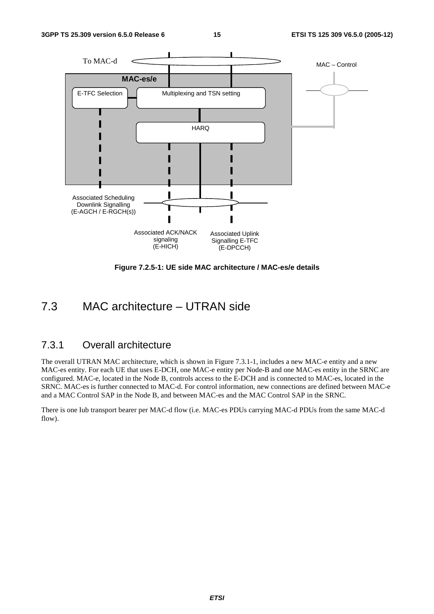

**Figure 7.2.5-1: UE side MAC architecture / MAC-es/e details** 

### 7.3 MAC architecture – UTRAN side

#### 7.3.1 Overall architecture

The overall UTRAN MAC architecture, which is shown in Figure 7.3.1-1, includes a new MAC-e entity and a new MAC-es entity. For each UE that uses E-DCH, one MAC-e entity per Node-B and one MAC-es entity in the SRNC are configured. MAC-e, located in the Node B, controls access to the E-DCH and is connected to MAC-es, located in the SRNC. MAC-es is further connected to MAC-d. For control information, new connections are defined between MAC-e and a MAC Control SAP in the Node B, and between MAC-es and the MAC Control SAP in the SRNC.

There is one Iub transport bearer per MAC-d flow (i.e. MAC-es PDUs carrying MAC-d PDUs from the same MAC-d flow).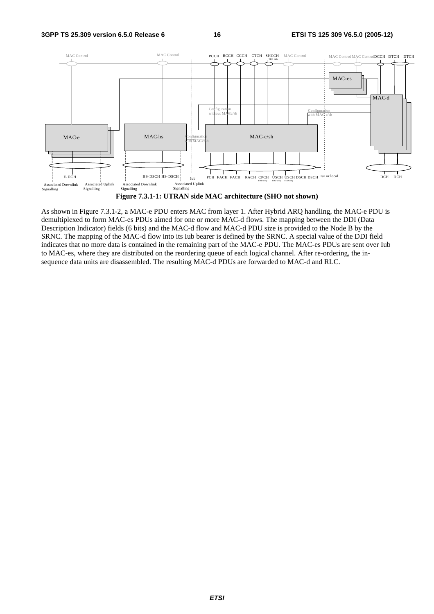

**Figure 7.3.1-1: UTRAN side MAC architecture (SHO not shown)**

As shown in Figure 7.3.1-2, a MAC-e PDU enters MAC from layer 1. After Hybrid ARQ handling, the MAC-e PDU is demultiplexed to form MAC-es PDUs aimed for one or more MAC-d flows. The mapping between the DDI (Data Description Indicator) fields (6 bits) and the MAC-d flow and MAC-d PDU size is provided to the Node B by the SRNC. The mapping of the MAC-d flow into its Iub bearer is defined by the SRNC. A special value of the DDI field indicates that no more data is contained in the remaining part of the MAC-e PDU. The MAC-es PDUs are sent over Iub to MAC-es, where they are distributed on the reordering queue of each logical channel. After re-ordering, the insequence data units are disassembled. The resulting MAC-d PDUs are forwarded to MAC-d and RLC.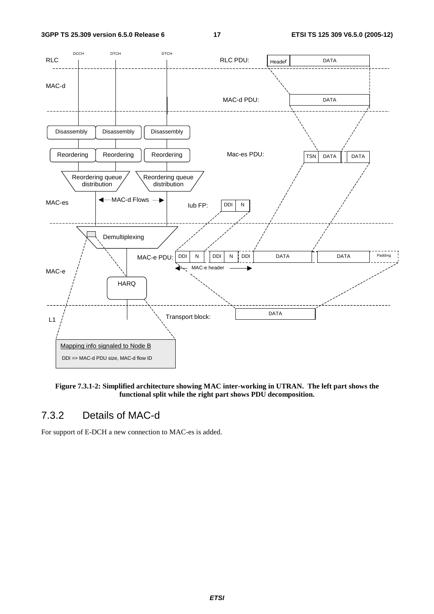

**Figure 7.3.1-2: Simplified architecture showing MAC inter-working in UTRAN. The left part shows the functional split while the right part shows PDU decomposition.** 

### 7.3.2 Details of MAC-d

For support of E-DCH a new connection to MAC-es is added.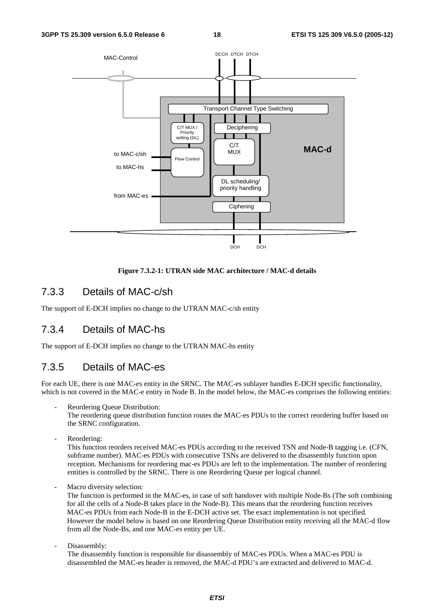

#### **Figure 7.3.2-1: UTRAN side MAC architecture / MAC-d details**

#### 7.3.3 Details of MAC-c/sh

The support of E-DCH implies no change to the UTRAN MAC-c/sh entity

#### 7.3.4 Details of MAC-hs

The support of E-DCH implies no change to the UTRAN MAC-hs entity

#### 7.3.5 Details of MAC-es

For each UE, there is one MAC-es entity in the SRNC. The MAC-es sublayer handles E-DCH specific functionality, which is not covered in the MAC-e entity in Node B. In the model below, the MAC-es comprises the following entities:

Reordering Queue Distribution:

The reordering queue distribution function routes the MAC-es PDUs to the correct reordering buffer based on the SRNC configuration.

- Reordering:

This function reorders received MAC-es PDUs according to the received TSN and Node-B tagging i.e. (CFN, subframe number). MAC-es PDUs with consecutive TSNs are delivered to the disassembly function upon reception. Mechanisms for reordering mac-es PDUs are left to the implementation. The number of reordering entities is controlled by the SRNC. There is one Reordering Queue per logical channel.

Macro diversity selection:

The function is performed in the MAC-es, in case of soft handover with multiple Node-Bs (The soft combining for all the cells of a Node-B takes place in the Node-B). This means that the reordering function receives MAC-es PDUs from each Node-B in the E-DCH active set. The exact implementation is not specified. However the model below is based on one Reordering Queue Distribution entity receiving all the MAC-d flow from all the Node-Bs, and one MAC-es entity per UE.

Disassembly:

The disassembly function is responsible for disassembly of MAC-es PDUs. When a MAC-es PDU is disassembled the MAC-es header is removed, the MAC-d PDU's are extracted and delivered to MAC-d.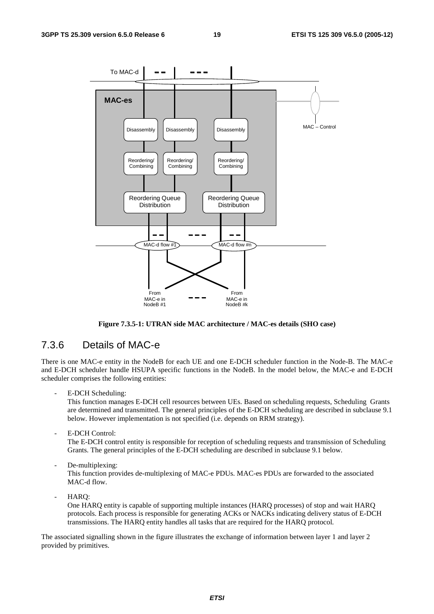

**Figure 7.3.5-1: UTRAN side MAC architecture / MAC-es details (SHO case)**

#### 7.3.6 Details of MAC-e

There is one MAC-e entity in the NodeB for each UE and one E-DCH scheduler function in the Node-B. The MAC-e and E-DCH scheduler handle HSUPA specific functions in the NodeB. In the model below, the MAC-e and E-DCH scheduler comprises the following entities:

E-DCH Scheduling:

This function manages E-DCH cell resources between UEs. Based on scheduling requests, Scheduling Grants are determined and transmitted. The general principles of the E-DCH scheduling are described in subclause 9.1 below. However implementation is not specified (i.e. depends on RRM strategy).

E-DCH Control:

The E-DCH control entity is responsible for reception of scheduling requests and transmission of Scheduling Grants. The general principles of the E-DCH scheduling are described in subclause 9.1 below.

De-multiplexing:

This function provides de-multiplexing of MAC-e PDUs. MAC-es PDUs are forwarded to the associated MAC-d flow.

- HARQ:

One HARQ entity is capable of supporting multiple instances (HARQ processes) of stop and wait HARQ protocols. Each process is responsible for generating ACKs or NACKs indicating delivery status of E-DCH transmissions. The HARQ entity handles all tasks that are required for the HARQ protocol.

The associated signalling shown in the figure illustrates the exchange of information between layer 1 and layer 2 provided by primitives.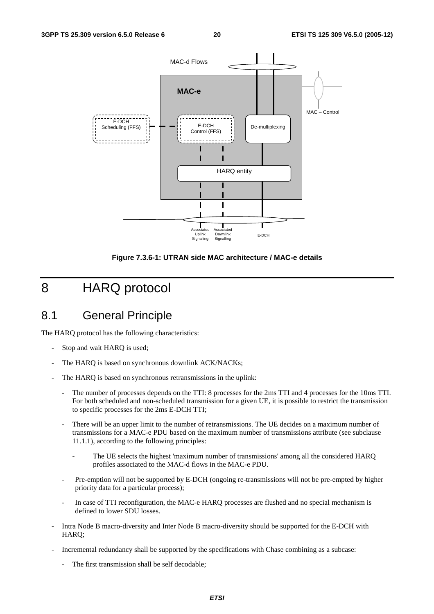

**Figure 7.3.6-1: UTRAN side MAC architecture / MAC-e details** 

## 8 HARQ protocol

### 8.1 General Principle

The HARQ protocol has the following characteristics:

- Stop and wait HARQ is used;
- The HARQ is based on synchronous downlink ACK/NACKs;
- The HARQ is based on synchronous retransmissions in the uplink:
	- The number of processes depends on the TTI: 8 processes for the 2ms TTI and 4 processes for the 10ms TTI. For both scheduled and non-scheduled transmission for a given UE, it is possible to restrict the transmission to specific processes for the 2ms E-DCH TTI;
	- There will be an upper limit to the number of retransmissions. The UE decides on a maximum number of transmissions for a MAC-e PDU based on the maximum number of transmissions attribute (see subclause 11.1.1), according to the following principles:
		- The UE selects the highest 'maximum number of transmissions' among all the considered HARQ profiles associated to the MAC-d flows in the MAC-e PDU.
	- Pre-emption will not be supported by E-DCH (ongoing re-transmissions will not be pre-empted by higher priority data for a particular process);
	- In case of TTI reconfiguration, the MAC-e HARQ processes are flushed and no special mechanism is defined to lower SDU losses.
- Intra Node B macro-diversity and Inter Node B macro-diversity should be supported for the E-DCH with HARQ;
- Incremental redundancy shall be supported by the specifications with Chase combining as a subcase:
	- The first transmission shall be self decodable;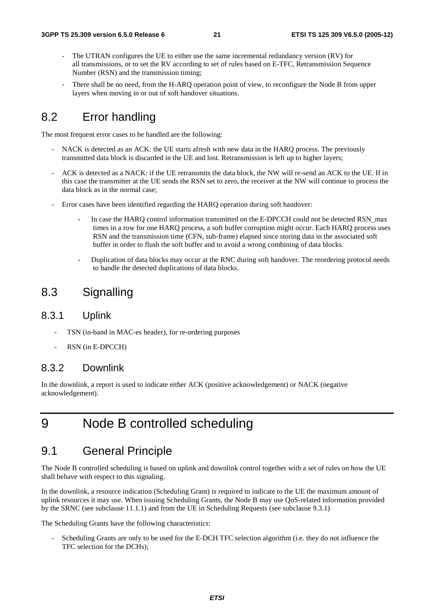- The UTRAN configures the UE to either use the same incremental redundancy version (RV) for all transmissions, or to set the RV according to set of rules based on E-TFC, Retransmission Sequence Number (RSN) and the transmission timing;
- There shall be no need, from the H-ARQ operation point of view, to reconfigure the Node B from upper layers when moving in or out of soft handover situations.

### 8.2 Error handling

The most frequent error cases to be handled are the following:

- NACK is detected as an ACK: the UE starts afresh with new data in the HARQ process. The previously transmitted data block is discarded in the UE and lost. Retransmission is left up to higher layers;
- ACK is detected as a NACK: if the UE retransmits the data block, the NW will re-send an ACK to the UE. If in this case the transmitter at the UE sends the RSN set to zero, the receiver at the NW will continue to process the data block as in the normal case;
- Error cases have been identified regarding the HARQ operation during soft handover:
	- In case the HARQ control information transmitted on the E-DPCCH could not be detected RSN\_max times in a row for one HARQ process, a soft buffer corruption might occur. Each HARQ process uses RSN and the transmission time (CFN, sub-frame) elapsed since storing data in the associated soft buffer in order to flush the soft buffer and to avoid a wrong combining of data blocks.
	- Duplication of data blocks may occur at the RNC during soft handover. The reordering protocol needs to handle the detected duplications of data blocks.

### 8.3 Signalling

#### 8.3.1 Uplink

- TSN (in-band in MAC-es header), for re-ordering purposes
- RSN (in E-DPCCH)

#### 8.3.2 Downlink

In the downlink, a report is used to indicate either ACK (positive acknowledgement) or NACK (negative acknowledgement).

## 9 Node B controlled scheduling

#### 9.1 General Principle

The Node B controlled scheduling is based on uplink and downlink control together with a set of rules on how the UE shall behave with respect to this signaling.

In the downlink, a resource indication (Scheduling Grant) is required to indicate to the UE the maximum amount of uplink resources it may use. When issuing Scheduling Grants, the Node B may use QoS-related information provided by the SRNC (see subclause 11.1.1) and from the UE in Scheduling Requests (see subclause 9.3.1)

The Scheduling Grants have the following characteristics:

Scheduling Grants are only to be used for the E-DCH TFC selection algorithm (i.e. they do not influence the TFC selection for the DCHs);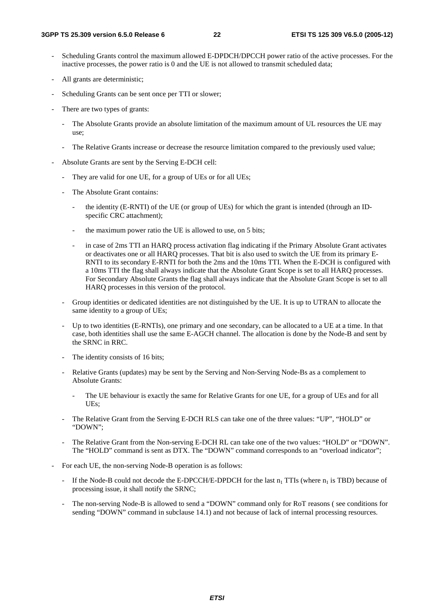- Scheduling Grants control the maximum allowed E-DPDCH/DPCCH power ratio of the active processes. For the inactive processes, the power ratio is 0 and the UE is not allowed to transmit scheduled data;
- All grants are deterministic;
- Scheduling Grants can be sent once per TTI or slower;
- There are two types of grants:
	- The Absolute Grants provide an absolute limitation of the maximum amount of UL resources the UE may use;
	- The Relative Grants increase or decrease the resource limitation compared to the previously used value;
- Absolute Grants are sent by the Serving E-DCH cell:
	- They are valid for one UE, for a group of UEs or for all UEs;
	- The Absolute Grant contains:
		- the identity (E-RNTI) of the UE (or group of UEs) for which the grant is intended (through an IDspecific CRC attachment);
		- the maximum power ratio the UE is allowed to use, on 5 bits;
		- in case of 2ms TTI an HARQ process activation flag indicating if the Primary Absolute Grant activates or deactivates one or all HARQ processes. That bit is also used to switch the UE from its primary E-RNTI to its secondary E-RNTI for both the 2ms and the 10ms TTI. When the E-DCH is configured with a 10ms TTI the flag shall always indicate that the Absolute Grant Scope is set to all HARQ processes. For Secondary Absolute Grants the flag shall always indicate that the Absolute Grant Scope is set to all HARQ processes in this version of the protocol.
	- Group identities or dedicated identities are not distinguished by the UE. It is up to UTRAN to allocate the same identity to a group of UEs;
	- Up to two identities (E-RNTIs), one primary and one secondary, can be allocated to a UE at a time. In that case, both identities shall use the same E-AGCH channel. The allocation is done by the Node-B and sent by the SRNC in RRC.
	- The identity consists of 16 bits;
	- Relative Grants (updates) may be sent by the Serving and Non-Serving Node-Bs as a complement to Absolute Grants:
		- The UE behaviour is exactly the same for Relative Grants for one UE, for a group of UEs and for all UEs;
	- The Relative Grant from the Serving E-DCH RLS can take one of the three values: "UP", "HOLD" or "DOWN";
	- The Relative Grant from the Non-serving E-DCH RL can take one of the two values: "HOLD" or "DOWN". The "HOLD" command is sent as DTX. The "DOWN" command corresponds to an "overload indicator";
- For each UE, the non-serving Node-B operation is as follows:
	- If the Node-B could not decode the E-DPCCH/E-DPDCH for the last  $n_1$  TTIs (where  $n_1$  is TBD) because of processing issue, it shall notify the SRNC;
	- The non-serving Node-B is allowed to send a "DOWN" command only for RoT reasons (see conditions for sending "DOWN" command in subclause 14.1) and not because of lack of internal processing resources.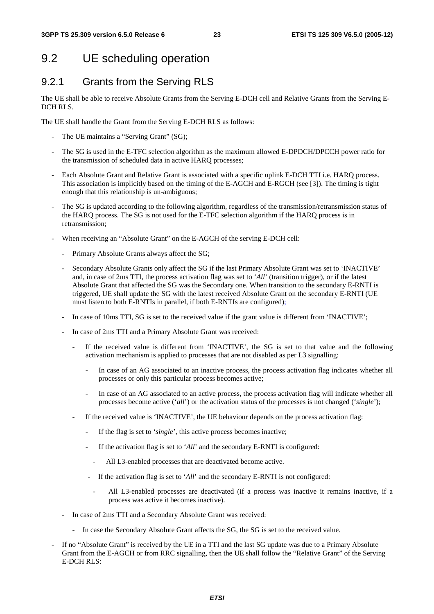## 9.2 UE scheduling operation

### 9.2.1 Grants from the Serving RLS

The UE shall be able to receive Absolute Grants from the Serving E-DCH cell and Relative Grants from the Serving E-DCH RLS.

The UE shall handle the Grant from the Serving E-DCH RLS as follows:

- The UE maintains a "Serving Grant" (SG);
- The SG is used in the E-TFC selection algorithm as the maximum allowed E-DPDCH/DPCCH power ratio for the transmission of scheduled data in active HARQ processes;
- Each Absolute Grant and Relative Grant is associated with a specific uplink E-DCH TTI i.e. HARQ process. This association is implicitly based on the timing of the E-AGCH and E-RGCH (see [3]). The timing is tight enough that this relationship is un-ambiguous;
- The SG is updated according to the following algorithm, regardless of the transmission/retransmission status of the HARQ process. The SG is not used for the E-TFC selection algorithm if the HARQ process is in retransmission;
- When receiving an "Absolute Grant" on the E-AGCH of the serving E-DCH cell:
	- Primary Absolute Grants always affect the SG;
	- Secondary Absolute Grants only affect the SG if the last Primary Absolute Grant was set to 'INACTIVE' and, in case of 2ms TTI, the process activation flag was set to '*All*' (transition trigger), or if the latest Absolute Grant that affected the SG was the Secondary one. When transition to the secondary E-RNTI is triggered, UE shall update the SG with the latest received Absolute Grant on the secondary E-RNTI (UE must listen to both E-RNTIs in parallel, if both E-RNTIs are configured);
	- In case of 10ms TTI, SG is set to the received value if the grant value is different from 'INACTIVE';
	- In case of 2ms TTI and a Primary Absolute Grant was received:
		- If the received value is different from 'INACTIVE', the SG is set to that value and the following activation mechanism is applied to processes that are not disabled as per L3 signalling:
			- In case of an AG associated to an inactive process, the process activation flag indicates whether all processes or only this particular process becomes active;
			- In case of an AG associated to an active process, the process activation flag will indicate whether all processes become active ('*all*') or the activation status of the processes is not changed ('*single*');
		- If the received value is 'INACTIVE', the UE behaviour depends on the process activation flag:
			- If the flag is set to '*single*', this active process becomes inactive;
			- If the activation flag is set to '*All*' and the secondary E-RNTI is configured:
				- All L3-enabled processes that are deactivated become active.
			- If the activation flag is set to '*All*' and the secondary E-RNTI is not configured:
				- All L3-enabled processes are deactivated (if a process was inactive it remains inactive, if a process was active it becomes inactive).
	- In case of 2ms TTI and a Secondary Absolute Grant was received:
		- In case the Secondary Absolute Grant affects the SG, the SG is set to the received value.
- If no "Absolute Grant" is received by the UE in a TTI and the last SG update was due to a Primary Absolute Grant from the E-AGCH or from RRC signalling, then the UE shall follow the "Relative Grant" of the Serving E-DCH RLS: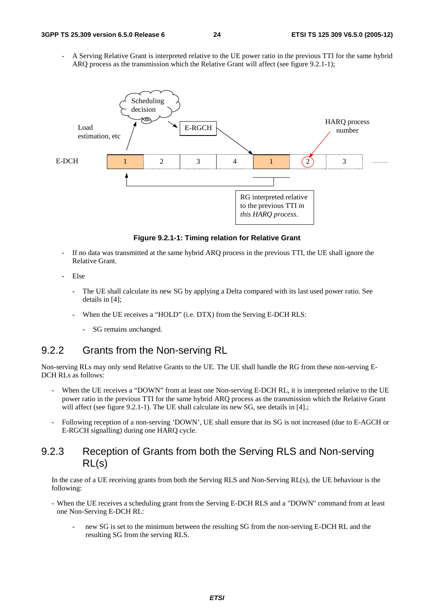A Serving Relative Grant is interpreted relative to the UE power ratio in the previous TTI for the same hybrid ARQ process as the transmission which the Relative Grant will affect (see figure 9.2.1-1);



**Figure 9.2.1-1: Timing relation for Relative Grant** 

- If no data was transmitted at the same hybrid ARQ process in the previous TTI, the UE shall ignore the Relative Grant.
- Else
	- The UE shall calculate its new SG by applying a Delta compared with its last used power ratio. See details in [4];
	- When the UE receives a "HOLD" (i.e. DTX) from the Serving E-DCH RLS:
		- SG remains unchanged.

#### 9.2.2 Grants from the Non-serving RL

Non-serving RLs may only send Relative Grants to the UE. The UE shall handle the RG from these non-serving E-DCH RLs as follows:

- When the UE receives a "DOWN" from at least one Non-serving E-DCH RL, it is interpreted relative to the UE power ratio in the previous TTI for the same hybrid ARQ process as the transmission which the Relative Grant will affect (see figure 9.2.1-1). The UE shall calculate its new SG, see details in [4].;
- Following reception of a non-serving 'DOWN', UE shall ensure that its SG is not increased (due to E-AGCH or E-RGCH signalling) during one HARQ cycle.

#### 9.2.3 Reception of Grants from both the Serving RLS and Non-serving RL(s)

In the case of a UE receiving grants from both the Serving RLS and Non-Serving RL(s), the UE behaviour is the following:

- When the UE receives a scheduling grant from the Serving E-DCH RLS and a "DOWN" command from at least one Non-Serving E-DCH RL:
	- new SG is set to the minimum between the resulting SG from the non-serving E-DCH RL and the resulting SG from the serving RLS.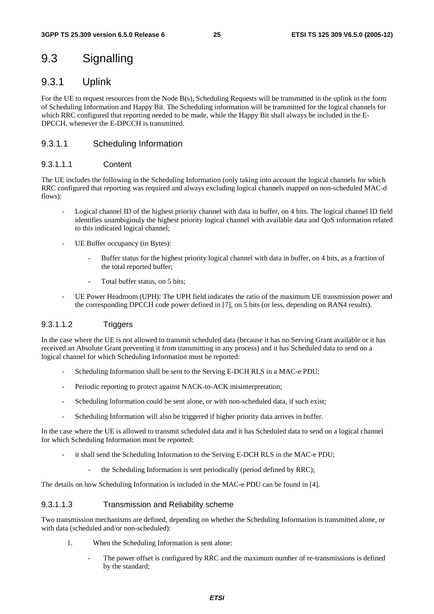### 9.3 Signalling

#### 9.3.1 Uplink

For the UE to request resources from the Node B(s), Scheduling Requests will be transmitted in the uplink in the form of Scheduling Information and Happy Bit. The Scheduling information will be transmitted for the logical channels for which RRC configured that reporting needed to be made, while the Happy Bit shall always be included in the E-DPCCH, whenever the E-DPCCH is transmitted.

#### 9.3.1.1 Scheduling Information

#### 9.3.1.1.1 Content

The UE includes the following in the Scheduling Information (only taking into account the logical channels for which RRC configured that reporting was required and always excluding logical channels mapped on non-scheduled MAC-d flows):

- Logical channel ID of the highest priority channel with data in buffer, on 4 bits. The logical channel ID field identifies unambigiouly the highest priority logical channel with available data and QoS information related to this indicated logical channel;
- UE Buffer occupancy (in Bytes):
	- Buffer status for the highest priority logical channel with data in buffer, on 4 bits, as a fraction of the total reported buffer;
	- Total buffer status, on 5 bits;
- UE Power Headroom (UPH): The UPH field indicates the ratio of the maximum UE transmission power and the corresponding DPCCH code power defined in [7], on 5 bits (or less, depending on RAN4 results).

#### 9.3.1.1.2 Triggers

In the case where the UE is not allowed to transmit scheduled data (because it has no Serving Grant available or it has received an Absolute Grant preventing it from transmitting in any process) and it has Scheduled data to send on a logical channel for which Scheduling Information must be reported:

- Scheduling Information shall be sent to the Serving E-DCH RLS in a MAC-e PDU;
- Periodic reporting to protect against NACK-to-ACK misinterpretation;
- Scheduling Information could be sent alone, or with non-scheduled data, if such exist;
- Scheduling Information will also be triggered if higher priority data arrives in buffer.

In the case where the UE is allowed to transmit scheduled data and it has Scheduled data to send on a logical channel for which Scheduling Information must be reported:

- it shall send the Scheduling Information to the Serving E-DCH RLS in the MAC-e PDU;
	- the Scheduling Information is sent periodically (period defined by RRC);

The details on how Scheduling Information is included in the MAC-e PDU can be found in [4].

#### 9.3.1.1.3 Transmission and Reliability scheme

Two transmission mechanisms are defined, depending on whether the Scheduling Information is transmitted alone, or with data (scheduled and/or non-scheduled):

- 1. When the Scheduling Information is sent alone:
	- The power offset is configured by RRC and the maximum number of re-transmissions is defined by the standard;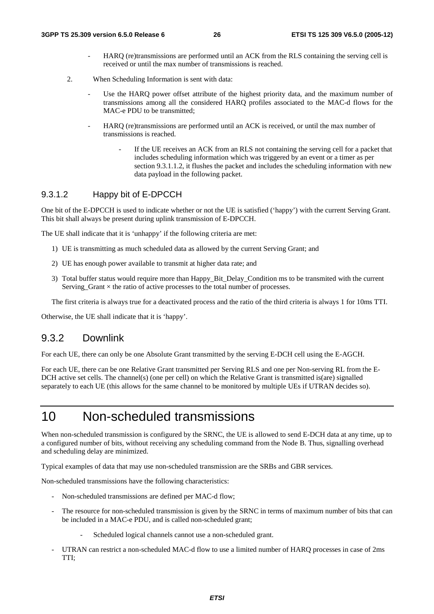- HARQ (re)transmissions are performed until an ACK from the RLS containing the serving cell is received or until the max number of transmissions is reached.
- 2. When Scheduling Information is sent with data:
	- Use the HARQ power offset attribute of the highest priority data, and the maximum number of transmissions among all the considered HARQ profiles associated to the MAC-d flows for the MAC-e PDU to be transmitted;
	- HARQ (re)transmissions are performed until an ACK is received, or until the max number of transmissions is reached.
		- If the UE receives an ACK from an RLS not containing the serving cell for a packet that includes scheduling information which was triggered by an event or a timer as per section 9.3.1.1.2, it flushes the packet and includes the scheduling information with new data payload in the following packet.

#### 9.3.1.2 Happy bit of E-DPCCH

One bit of the E-DPCCH is used to indicate whether or not the UE is satisfied ('happy') with the current Serving Grant. This bit shall always be present during uplink transmission of E-DPCCH.

The UE shall indicate that it is 'unhappy' if the following criteria are met:

- 1) UE is transmitting as much scheduled data as allowed by the current Serving Grant; and
- 2) UE has enough power available to transmit at higher data rate; and
- 3) Total buffer status would require more than Happy\_Bit\_Delay\_Condition ms to be transmited with the current Serving Grant  $\times$  the ratio of active processes to the total number of processes.

The first criteria is always true for a deactivated process and the ratio of the third criteria is always 1 for 10ms TTI.

Otherwise, the UE shall indicate that it is 'happy'.

#### 9.3.2 Downlink

For each UE, there can only be one Absolute Grant transmitted by the serving E-DCH cell using the E-AGCH.

For each UE, there can be one Relative Grant transmitted per Serving RLS and one per Non-serving RL from the E-DCH active set cells. The channel(s) (one per cell) on which the Relative Grant is transmitted is(are) signalled separately to each UE (this allows for the same channel to be monitored by multiple UEs if UTRAN decides so).

### 10 Non-scheduled transmissions

When non-scheduled transmission is configured by the SRNC, the UE is allowed to send E-DCH data at any time, up to a configured number of bits, without receiving any scheduling command from the Node B. Thus, signalling overhead and scheduling delay are minimized.

Typical examples of data that may use non-scheduled transmission are the SRBs and GBR services.

Non-scheduled transmissions have the following characteristics:

- Non-scheduled transmissions are defined per MAC-d flow;
- The resource for non-scheduled transmission is given by the SRNC in terms of maximum number of bits that can be included in a MAC-e PDU, and is called non-scheduled grant;
	- Scheduled logical channels cannot use a non-scheduled grant.
- UTRAN can restrict a non-scheduled MAC-d flow to use a limited number of HARQ processes in case of 2ms TTI;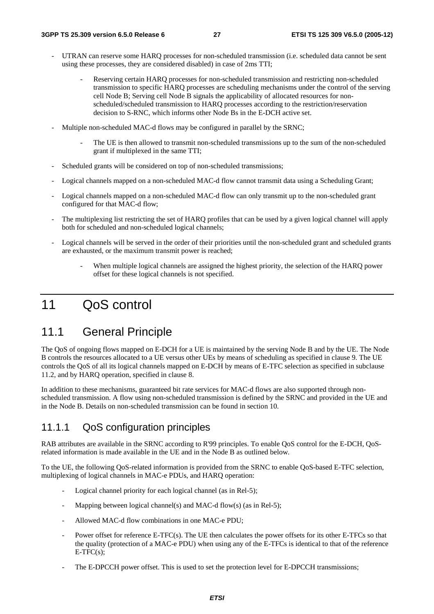- UTRAN can reserve some HARQ processes for non-scheduled transmission (i.e. scheduled data cannot be sent using these processes, they are considered disabled) in case of 2ms TTI;
	- Reserving certain HARQ processes for non-scheduled transmission and restricting non-scheduled transmission to specific HARQ processes are scheduling mechanisms under the control of the serving cell Node B; Serving cell Node B signals the applicability of allocated resources for nonscheduled/scheduled transmission to HARQ processes according to the restriction/reservation decision to S-RNC, which informs other Node Bs in the E-DCH active set.
- Multiple non-scheduled MAC-d flows may be configured in parallel by the SRNC;
	- The UE is then allowed to transmit non-scheduled transmissions up to the sum of the non-scheduled grant if multiplexed in the same TTI;
- Scheduled grants will be considered on top of non-scheduled transmissions;
- Logical channels mapped on a non-scheduled MAC-d flow cannot transmit data using a Scheduling Grant;
- Logical channels mapped on a non-scheduled MAC-d flow can only transmit up to the non-scheduled grant configured for that MAC-d flow;
- The multiplexing list restricting the set of HARQ profiles that can be used by a given logical channel will apply both for scheduled and non-scheduled logical channels;
- Logical channels will be served in the order of their priorities until the non-scheduled grant and scheduled grants are exhausted, or the maximum transmit power is reached;
	- When multiple logical channels are assigned the highest priority, the selection of the HARQ power offset for these logical channels is not specified.

## 11 QoS control

### 11.1 General Principle

The QoS of ongoing flows mapped on E-DCH for a UE is maintained by the serving Node B and by the UE. The Node B controls the resources allocated to a UE versus other UEs by means of scheduling as specified in clause 9. The UE controls the QoS of all its logical channels mapped on E-DCH by means of E-TFC selection as specified in subclause 11.2, and by HARQ operation, specified in clause 8.

In addition to these mechanisms, guaranteed bit rate services for MAC-d flows are also supported through nonscheduled transmission. A flow using non-scheduled transmission is defined by the SRNC and provided in the UE and in the Node B. Details on non-scheduled transmission can be found in section 10.

#### 11.1.1 QoS configuration principles

RAB attributes are available in the SRNC according to R'99 principles. To enable OoS control for the E-DCH, OoSrelated information is made available in the UE and in the Node B as outlined below.

To the UE, the following QoS-related information is provided from the SRNC to enable QoS-based E-TFC selection, multiplexing of logical channels in MAC-e PDUs, and HARQ operation:

- Logical channel priority for each logical channel (as in Rel-5);
- Mapping between logical channel(s) and MAC-d flow(s) (as in Rel-5);
- Allowed MAC-d flow combinations in one MAC-e PDU;
- Power offset for reference E-TFC(s). The UE then calculates the power offsets for its other E-TFCs so that the quality (protection of a MAC-e PDU) when using any of the E-TFCs is identical to that of the reference  $E-TFC(s)$ :
- The E-DPCCH power offset. This is used to set the protection level for E-DPCCH transmissions;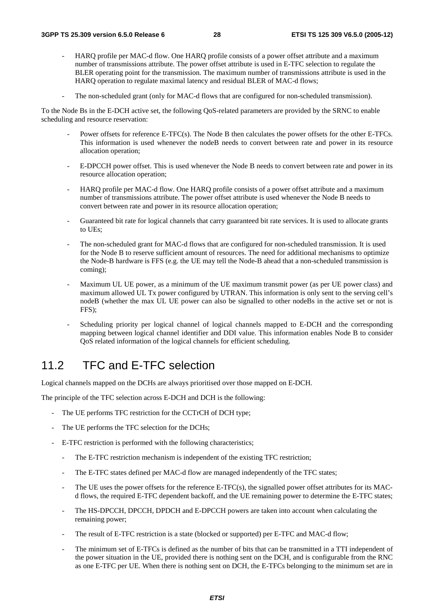- HARQ profile per MAC-d flow. One HARQ profile consists of a power offset attribute and a maximum number of transmissions attribute. The power offset attribute is used in E-TFC selection to regulate the BLER operating point for the transmission. The maximum number of transmissions attribute is used in the HARQ operation to regulate maximal latency and residual BLER of MAC-d flows;
- The non-scheduled grant (only for MAC-d flows that are configured for non-scheduled transmission).

To the Node Bs in the E-DCH active set, the following QoS-related parameters are provided by the SRNC to enable scheduling and resource reservation:

- Power offsets for reference E-TFC(s). The Node B then calculates the power offsets for the other E-TFCs. This information is used whenever the nodeB needs to convert between rate and power in its resource allocation operation;
- E-DPCCH power offset. This is used whenever the Node B needs to convert between rate and power in its resource allocation operation;
- HARQ profile per MAC-d flow. One HARQ profile consists of a power offset attribute and a maximum number of transmissions attribute. The power offset attribute is used whenever the Node B needs to convert between rate and power in its resource allocation operation;
- Guaranteed bit rate for logical channels that carry guaranteed bit rate services. It is used to allocate grants to UEs;
- The non-scheduled grant for MAC-d flows that are configured for non-scheduled transmission. It is used for the Node B to reserve sufficient amount of resources. The need for additional mechanisms to optimize the Node-B hardware is FFS (e.g. the UE may tell the Node-B ahead that a non-scheduled transmission is coming);
- Maximum UL UE power, as a minimum of the UE maximum transmit power (as per UE power class) and maximum allowed UL Tx power configured by UTRAN. This information is only sent to the serving cell's nodeB (whether the max UL UE power can also be signalled to other nodeBs in the active set or not is FFS);
- Scheduling priority per logical channel of logical channels mapped to E-DCH and the corresponding mapping between logical channel identifier and DDI value. This information enables Node B to consider QoS related information of the logical channels for efficient scheduling.

### 11.2 TFC and E-TFC selection

Logical channels mapped on the DCHs are always prioritised over those mapped on E-DCH.

The principle of the TFC selection across E-DCH and DCH is the following:

- The UE performs TFC restriction for the CCTrCH of DCH type;
- The UE performs the TFC selection for the DCHs;
- E-TFC restriction is performed with the following characteristics;
	- The E-TFC restriction mechanism is independent of the existing TFC restriction;
	- The E-TFC states defined per MAC-d flow are managed independently of the TFC states;
	- The UE uses the power offsets for the reference E-TFC(s), the signalled power offset attributes for its MACd flows, the required E-TFC dependent backoff, and the UE remaining power to determine the E-TFC states;
	- The HS-DPCCH, DPCCH, DPDCH and E-DPCCH powers are taken into account when calculating the remaining power;
	- The result of E-TFC restriction is a state (blocked or supported) per E-TFC and MAC-d flow;
	- The minimum set of E-TFCs is defined as the number of bits that can be transmitted in a TTI independent of the power situation in the UE, provided there is nothing sent on the DCH, and is configurable from the RNC as one E-TFC per UE. When there is nothing sent on DCH, the E-TFCs belonging to the minimum set are in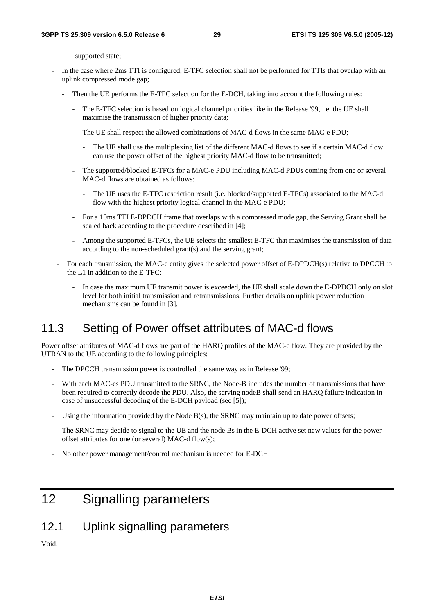supported state;

- In the case where 2ms TTI is configured, E-TFC selection shall not be performed for TTIs that overlap with an uplink compressed mode gap;
	- Then the UE performs the E-TFC selection for the E-DCH, taking into account the following rules:
		- The E-TFC selection is based on logical channel priorities like in the Release '99, i.e. the UE shall maximise the transmission of higher priority data;
		- The UE shall respect the allowed combinations of MAC-d flows in the same MAC-e PDU;
			- The UE shall use the multiplexing list of the different MAC-d flows to see if a certain MAC-d flow can use the power offset of the highest priority MAC-d flow to be transmitted;
		- The supported/blocked E-TFCs for a MAC-e PDU including MAC-d PDUs coming from one or several MAC-d flows are obtained as follows:
			- The UE uses the E-TFC restriction result (i.e. blocked/supported E-TFCs) associated to the MAC-d flow with the highest priority logical channel in the MAC-e PDU;
		- For a 10ms TTI E-DPDCH frame that overlaps with a compressed mode gap, the Serving Grant shall be scaled back according to the procedure described in [4];
		- Among the supported E-TFCs, the UE selects the smallest E-TFC that maximises the transmission of data according to the non-scheduled grant(s) and the serving grant;
	- For each transmission, the MAC-e entity gives the selected power offset of E-DPDCH(s) relative to DPCCH to the L1 in addition to the E-TFC;
		- In case the maximum UE transmit power is exceeded, the UE shall scale down the E-DPDCH only on slot level for both initial transmission and retransmissions. Further details on uplink power reduction mechanisms can be found in [3].

### 11.3 Setting of Power offset attributes of MAC-d flows

Power offset attributes of MAC-d flows are part of the HARQ profiles of the MAC-d flow. They are provided by the UTRAN to the UE according to the following principles:

- The DPCCH transmission power is controlled the same way as in Release '99;
- With each MAC-es PDU transmitted to the SRNC, the Node-B includes the number of transmissions that have been required to correctly decode the PDU. Also, the serving nodeB shall send an HARQ failure indication in case of unsuccessful decoding of the E-DCH payload (see [5]);
- Using the information provided by the Node  $B(s)$ , the SRNC may maintain up to date power offsets;
- The SRNC may decide to signal to the UE and the node Bs in the E-DCH active set new values for the power offset attributes for one (or several) MAC-d flow(s);
- No other power management/control mechanism is needed for E-DCH.

## 12 Signalling parameters

12.1 Uplink signalling parameters

Void.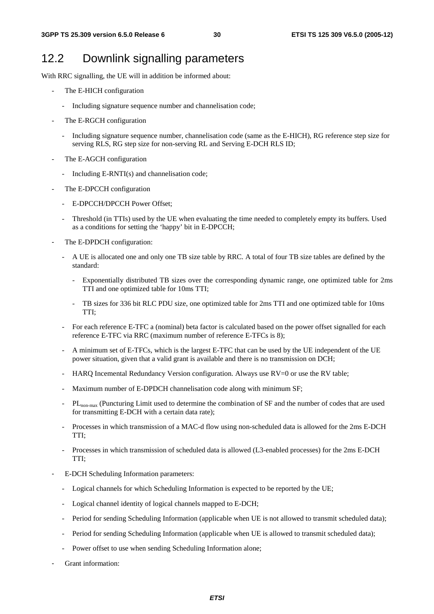### 12.2 Downlink signalling parameters

With RRC signalling, the UE will in addition be informed about:

- The E-HICH configuration
	- Including signature sequence number and channelisation code;
- The E-RGCH configuration
	- Including signature sequence number, channelisation code (same as the E-HICH), RG reference step size for serving RLS, RG step size for non-serving RL and Serving E-DCH RLS ID;
- The E-AGCH configuration
	- Including E-RNTI(s) and channelisation code;
- The E-DPCCH configuration
	- E-DPCCH/DPCCH Power Offset;
	- Threshold (in TTIs) used by the UE when evaluating the time needed to completely empty its buffers. Used as a conditions for setting the 'happy' bit in E-DPCCH;
- The E-DPDCH configuration:
	- A UE is allocated one and only one TB size table by RRC. A total of four TB size tables are defined by the standard:
		- Exponentially distributed TB sizes over the corresponding dynamic range, one optimized table for 2ms TTI and one optimized table for 10ms TTI;
		- TB sizes for 336 bit RLC PDU size, one optimized table for 2ms TTI and one optimized table for 10ms TTI;
	- For each reference E-TFC a (nominal) beta factor is calculated based on the power offset signalled for each reference E-TFC via RRC (maximum number of reference E-TFCs is 8);
	- A minimum set of E-TFCs, which is the largest E-TFC that can be used by the UE independent of the UE power situation, given that a valid grant is available and there is no transmission on DCH;
	- HARQ Incemental Redundancy Version configuration. Always use RV=0 or use the RV table;
	- Maximum number of E-DPDCH channelisation code along with minimum SF;
	- PL<sub>non-max</sub> (Puncturing Limit used to determine the combination of SF and the number of codes that are used for transmitting E-DCH with a certain data rate);
	- Processes in which transmission of a MAC-d flow using non-scheduled data is allowed for the 2ms E-DCH TTI;
	- Processes in which transmission of scheduled data is allowed (L3-enabled processes) for the 2ms E-DCH TTI;
- E-DCH Scheduling Information parameters:
	- Logical channels for which Scheduling Information is expected to be reported by the UE;
	- Logical channel identity of logical channels mapped to E-DCH;
	- Period for sending Scheduling Information (applicable when UE is not allowed to transmit scheduled data);
	- Period for sending Scheduling Information (applicable when UE is allowed to transmit scheduled data);
	- Power offset to use when sending Scheduling Information alone:
- Grant information: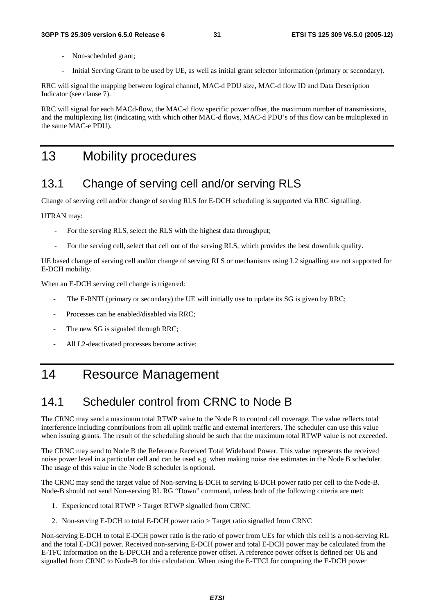- Non-scheduled grant;
- Initial Serving Grant to be used by UE, as well as initial grant selector information (primary or secondary).

RRC will signal the mapping between logical channel, MAC-d PDU size, MAC-d flow ID and Data Description Indicator (see clause 7).

RRC will signal for each MACd-flow, the MAC-d flow specific power offset, the maximum number of transmissions, and the multiplexing list (indicating with which other MAC-d flows, MAC-d PDU's of this flow can be multiplexed in the same MAC-e PDU).

## 13 Mobility procedures

## 13.1 Change of serving cell and/or serving RLS

Change of serving cell and/or change of serving RLS for E-DCH scheduling is supported via RRC signalling.

UTRAN may:

- For the serving RLS, select the RLS with the highest data throughput;
- For the serving cell, select that cell out of the serving RLS, which provides the best downlink quality.

UE based change of serving cell and/or change of serving RLS or mechanisms using L2 signalling are not supported for E-DCH mobility.

When an E-DCH serving cell change is trigerred:

- The E-RNTI (primary or secondary) the UE will initially use to update its SG is given by RRC;
- Processes can be enabled/disabled via RRC;
- The new SG is signaled through RRC;
- All L2-deactivated processes become active;

## 14 Resource Management

## 14.1 Scheduler control from CRNC to Node B

The CRNC may send a maximum total RTWP value to the Node B to control cell coverage. The value reflects total interference including contributions from all uplink traffic and external interferers. The scheduler can use this value when issuing grants. The result of the scheduling should be such that the maximum total RTWP value is not exceeded.

The CRNC may send to Node B the Reference Received Total Wideband Power. This value represents the received noise power level in a particular cell and can be used e.g. when making noise rise estimates in the Node B scheduler. The usage of this value in the Node B scheduler is optional.

The CRNC may send the target value of Non-serving E-DCH to serving E-DCH power ratio per cell to the Node-B. Node-B should not send Non-serving RL RG "Down" command, unless both of the following criteria are met:

- 1. Experienced total RTWP > Target RTWP signalled from CRNC
- 2. Non-serving E-DCH to total E-DCH power ratio > Target ratio signalled from CRNC

Non-serving E-DCH to total E-DCH power ratio is the ratio of power from UEs for which this cell is a non-serving RL and the total E-DCH power. Received non-serving E-DCH power and total E-DCH power may be calculated from the E-TFC information on the E-DPCCH and a reference power offset. A reference power offset is defined per UE and signalled from CRNC to Node-B for this calculation. When using the E-TFCI for computing the E-DCH power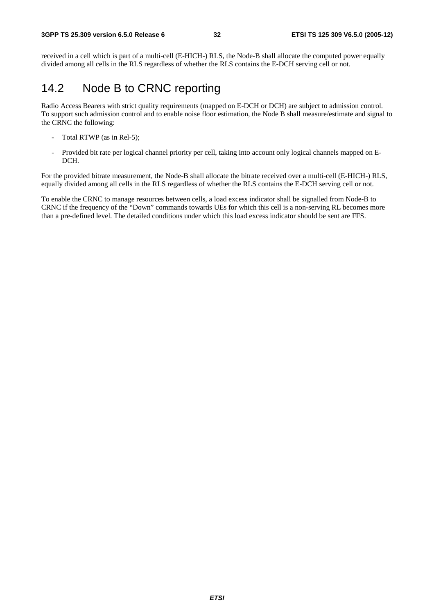received in a cell which is part of a multi-cell (E-HICH-) RLS, the Node-B shall allocate the computed power equally divided among all cells in the RLS regardless of whether the RLS contains the E-DCH serving cell or not.

### 14.2 Node B to CRNC reporting

Radio Access Bearers with strict quality requirements (mapped on E-DCH or DCH) are subject to admission control. To support such admission control and to enable noise floor estimation, the Node B shall measure/estimate and signal to the CRNC the following:

- Total RTWP (as in Rel-5);
- Provided bit rate per logical channel priority per cell, taking into account only logical channels mapped on E-DCH.

For the provided bitrate measurement, the Node-B shall allocate the bitrate received over a multi-cell (E-HICH-) RLS, equally divided among all cells in the RLS regardless of whether the RLS contains the E-DCH serving cell or not.

To enable the CRNC to manage resources between cells, a load excess indicator shall be signalled from Node-B to CRNC if the frequency of the "Down" commands towards UEs for which this cell is a non-serving RL becomes more than a pre-defined level. The detailed conditions under which this load excess indicator should be sent are FFS.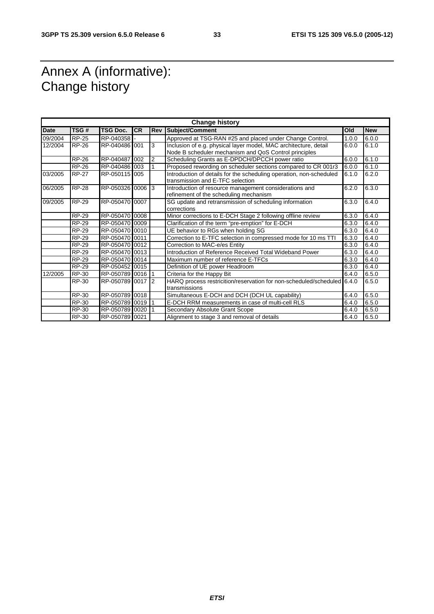## Annex A (informative): Change history

| <b>Change history</b> |              |                  |           |                |                                                                                                         |       |            |
|-----------------------|--------------|------------------|-----------|----------------|---------------------------------------------------------------------------------------------------------|-------|------------|
| <b>Date</b>           | TSG#         | <b>TSG Doc.</b>  | <b>CR</b> | <b>Rev</b>     | Subject/Comment                                                                                         | Old   | <b>New</b> |
| 09/2004               | <b>RP-25</b> | RP-040358        |           |                | Approved at TSG-RAN #25 and placed under Change Control.                                                | 1.0.0 | 6.0.0      |
| 12/2004               | <b>RP-26</b> | RP-040486 001    |           | 3              | Inclusion of e.g. physical layer model, MAC architecture, detail                                        | 6.0.0 | 6.1.0      |
|                       |              |                  |           |                | Node B scheduler mechanism and QoS Control principles                                                   |       |            |
|                       | <b>RP-26</b> | RP-040487 002    |           | $\overline{2}$ | Scheduling Grants as E-DPDCH/DPCCH power ratio                                                          | 6.0.0 | 6.1.0      |
|                       | <b>RP-26</b> | RP-040486 003    |           |                | Proposed rewording on scheduler sections compared to CR 001r3                                           | 6.0.0 | 6.1.0      |
| 03/2005               | <b>RP-27</b> | RP-050115 005    |           |                | Introduction of details for the scheduling operation, non-scheduled<br>transmission and E-TFC selection | 6.1.0 | 6.2.0      |
| 06/2005               | <b>RP-28</b> | RP-050326 0006 3 |           |                | Introduction of resource management considerations and<br>refinement of the scheduling mechanism        | 6.2.0 | 6.3.0      |
| 09/2005               | <b>RP-29</b> | RP-050470 0007   |           |                | SG update and retransmission of scheduling information<br>corrections                                   | 6.3.0 | 6.4.0      |
|                       | <b>RP-29</b> | RP-050470 0008   |           |                | Minor corrections to E-DCH Stage 2 following offline review                                             | 6.3.0 | 6.4.0      |
|                       | RP-29        | RP-050470 0009   |           |                | Clarification of the term "pre-emption" for E-DCH                                                       | 6.3.0 | 6.4.0      |
|                       | <b>RP-29</b> | RP-050470 0010   |           |                | UE behavior to RGs when holding SG                                                                      | 6.3.0 | 6.4.0      |
|                       | <b>RP-29</b> | RP-050470 0011   |           |                | Correction to E-TFC selection in compressed mode for 10 ms TTI                                          | 6.3.0 | 6.4.0      |
|                       | <b>RP-29</b> | RP-050470 0012   |           |                | Correction to MAC-e/es Entity                                                                           | 6.3.0 | 6.4.0      |
|                       | <b>RP-29</b> | RP-050470 0013   |           |                | Introduction of Reference Received Total Wideband Power                                                 | 6.3.0 | 6.4.0      |
|                       | RP-29        | RP-050470 0014   |           |                | Maximum number of reference E-TFCs                                                                      | 6.3.0 | 6.4.0      |
|                       | <b>RP-29</b> | RP-050452 0015   |           |                | Definition of UE power Headroom                                                                         | 6.3.0 | 6.4.0      |
| 12/2005               | RP-30        | RP-050789 0016   |           |                | Criteria for the Happy Bit                                                                              | 6.4.0 | 6.5.0      |
|                       | RP-30        | RP-050789 0017 2 |           |                | HARQ process restricition/reservation for non-scheduled/scheduled 6.4.0                                 |       | 6.5.0      |
|                       |              |                  |           |                | transmissions                                                                                           |       |            |
|                       | RP-30        | RP-050789 0018   |           |                | Simultaneous E-DCH and DCH (DCH UL capability)                                                          | 6.4.0 | 6.5.0      |
|                       | <b>RP-30</b> | RP-050789 0019   |           |                | E-DCH RRM measurements in case of multi-cell RLS                                                        | 6.4.0 | 6.5.0      |
|                       | RP-30        | RP-050789 0020   |           |                | Secondary Absolute Grant Scope                                                                          | 6.4.0 | 6.5.0      |
|                       | RP-30        | RP-050789 0021   |           |                | Alignment to stage 3 and removal of details                                                             | 6.4.0 | 6.5.0      |